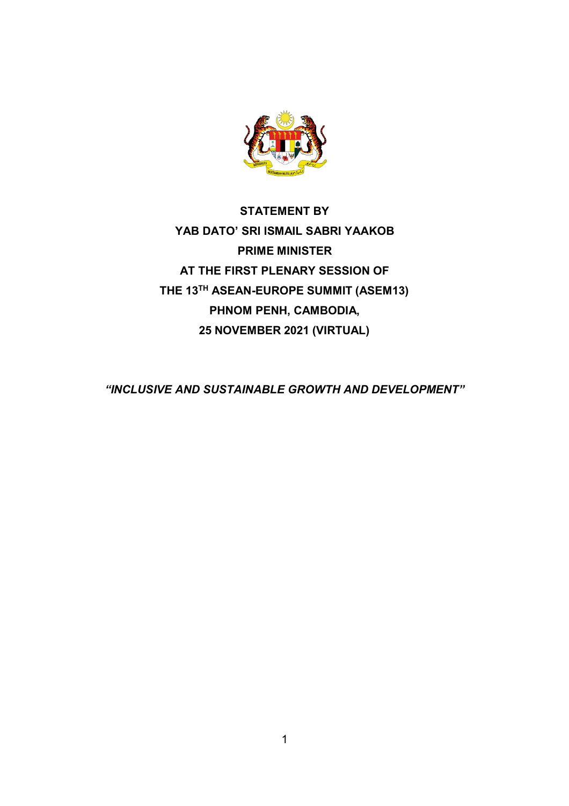

**STATEMENT BY YAB DATO' SRI ISMAIL SABRI YAAKOB PRIME MINISTER AT THE FIRST PLENARY SESSION OF THE 13TH ASEAN-EUROPE SUMMIT (ASEM13) PHNOM PENH, CAMBODIA, 25 NOVEMBER 2021 (VIRTUAL)**

*"INCLUSIVE AND SUSTAINABLE GROWTH AND DEVELOPMENT"*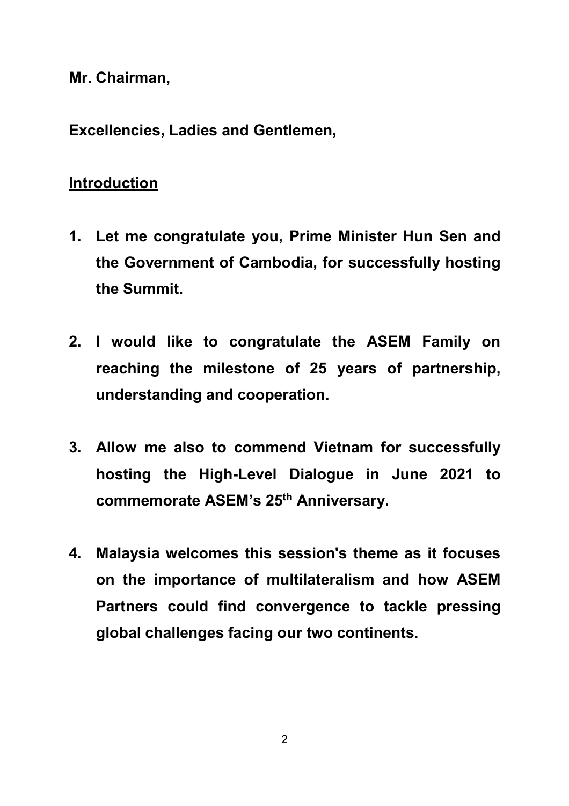**Mr. Chairman,**

**Excellencies, Ladies and Gentlemen,**

# **Introduction**

- **1. Let me congratulate you, Prime Minister Hun Sen and the Government of Cambodia, for successfully hosting the Summit.**
- **2. I would like to congratulate the ASEM Family on reaching the milestone of 25 years of partnership, understanding and cooperation.**
- **3. Allow me also to commend Vietnam for successfully hosting the High-Level Dialogue in June 2021 to commemorate ASEM's 25th Anniversary.**
- **4. Malaysia welcomes this session's theme as it focuses on the importance of multilateralism and how ASEM Partners could find convergence to tackle pressing global challenges facing our two continents.**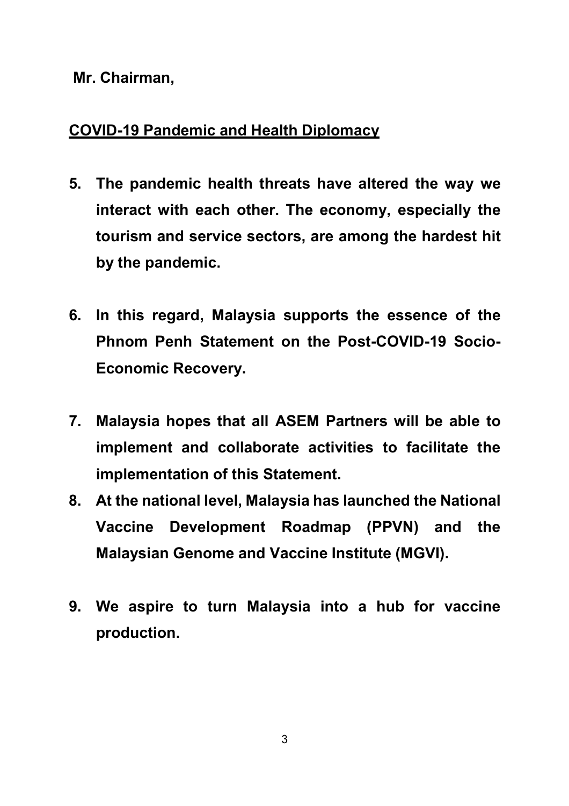#### **Mr. Chairman,**

## **COVID-19 Pandemic and Health Diplomacy**

- **5. The pandemic health threats have altered the way we interact with each other. The economy, especially the tourism and service sectors, are among the hardest hit by the pandemic.**
- **6. In this regard, Malaysia supports the essence of the Phnom Penh Statement on the Post-COVID-19 Socio-Economic Recovery.**
- **7. Malaysia hopes that all ASEM Partners will be able to implement and collaborate activities to facilitate the implementation of this Statement.**
- **8. At the national level, Malaysia has launched the National Vaccine Development Roadmap (PPVN) and the Malaysian Genome and Vaccine Institute (MGVI).**
- **9. We aspire to turn Malaysia into a hub for vaccine production.**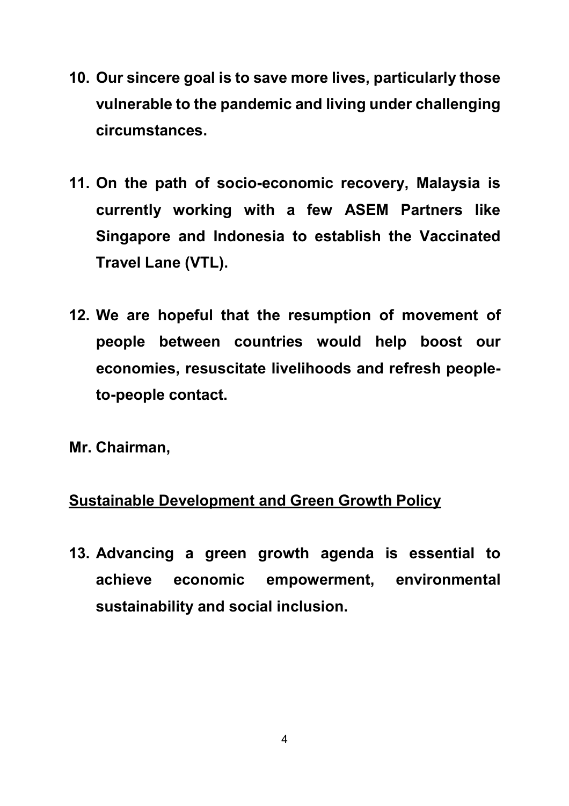- **10. Our sincere goal is to save more lives, particularly those vulnerable to the pandemic and living under challenging circumstances.**
- **11. On the path of socio-economic recovery, Malaysia is currently working with a few ASEM Partners like Singapore and Indonesia to establish the Vaccinated Travel Lane (VTL).**
- **12. We are hopeful that the resumption of movement of people between countries would help boost our economies, resuscitate livelihoods and refresh peopleto-people contact.**
- **Mr. Chairman,**

## **Sustainable Development and Green Growth Policy**

**13. Advancing a green growth agenda is essential to achieve economic empowerment, environmental sustainability and social inclusion.**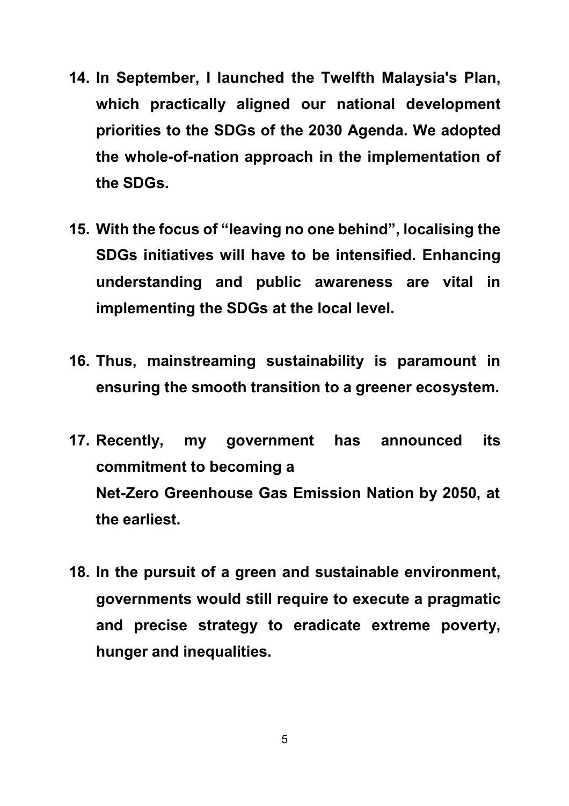- **14. In September, I launched the Twelfth Malaysia's Plan, which practically aligned our national development priorities to the SDGs of the 2030 Agenda. We adopted the whole-of-nation approach in the implementation of the SDGs.**
- **15. With the focus of "leaving no one behind", localising the SDGs initiatives will have to be intensified. Enhancing understanding and public awareness are vital in implementing the SDGs at the local level.**
- **16. Thus, mainstreaming sustainability is paramount in ensuring the smooth transition to a greener ecosystem.**
- **17. Recently, my government has announced its commitment to becoming a Net-Zero Greenhouse Gas Emission Nation by 2050, at the earliest.**
- **18. In the pursuit of a green and sustainable environment, governments would still require to execute a pragmatic and precise strategy to eradicate extreme poverty, hunger and inequalities.**

5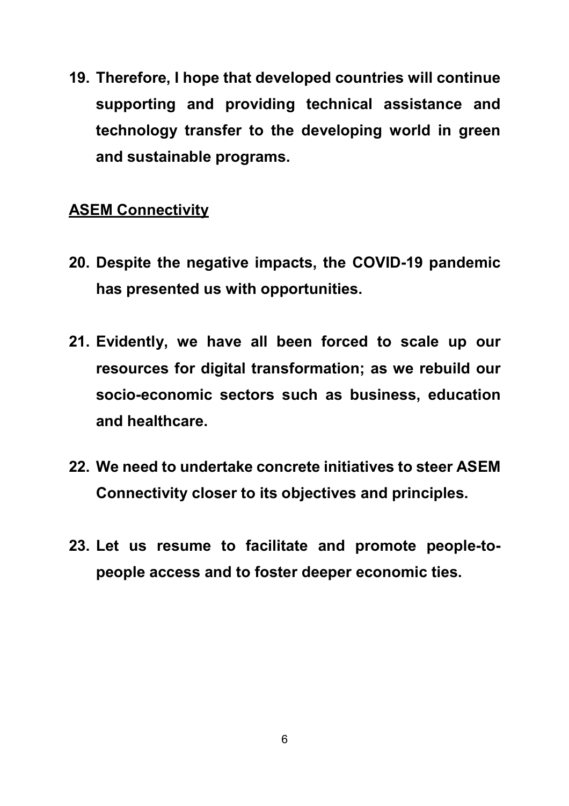**19. Therefore, I hope that developed countries will continue supporting and providing technical assistance and technology transfer to the developing world in green and sustainable programs.**

## **ASEM Connectivity**

- **20. Despite the negative impacts, the COVID-19 pandemic has presented us with opportunities.**
- **21. Evidently, we have all been forced to scale up our resources for digital transformation; as we rebuild our socio-economic sectors such as business, education and healthcare.**
- **22. We need to undertake concrete initiatives to steer ASEM Connectivity closer to its objectives and principles.**
- **23. Let us resume to facilitate and promote people-topeople access and to foster deeper economic ties.**